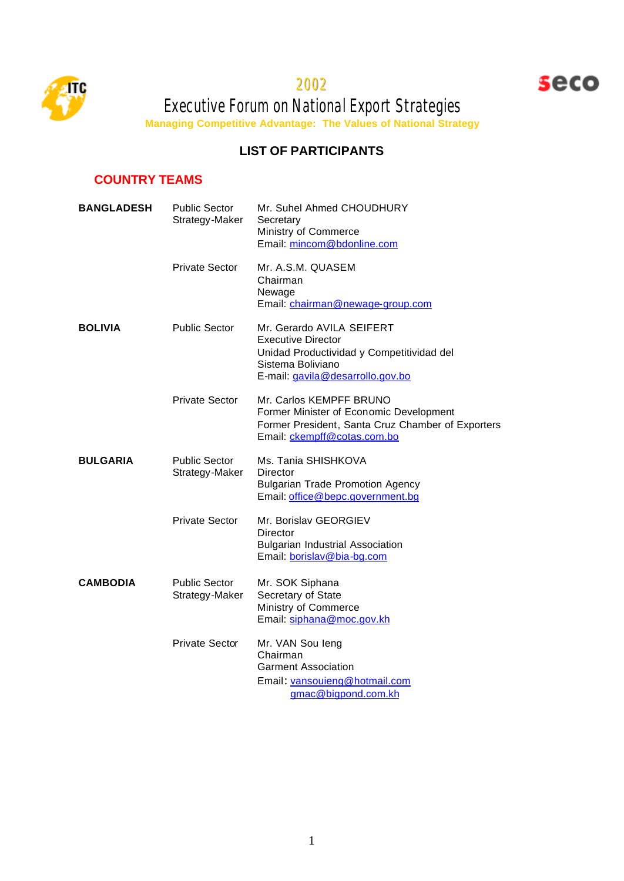

2002



Executive Forum on National Export Strategies **Managing Competitive Advantage: The Values of National Strategy**

## **LIST OF PARTICIPANTS**

# **COUNTRY TEAMS**

| <b>BANGLADESH</b> | <b>Public Sector</b><br>Strategy-Maker | Mr. Suhel Ahmed CHOUDHURY<br>Secretary<br>Ministry of Commerce<br>Email: mincom@bdonline.com                                                                 |
|-------------------|----------------------------------------|--------------------------------------------------------------------------------------------------------------------------------------------------------------|
|                   | <b>Private Sector</b>                  | Mr. A.S.M. QUASEM<br>Chairman<br>Newage<br>Email: chairman@newage-group.com                                                                                  |
| <b>BOLIVIA</b>    | <b>Public Sector</b>                   | Mr. Gerardo AVILA SEIFERT<br><b>Executive Director</b><br>Unidad Productividad y Competitividad del<br>Sistema Boliviano<br>E-mail: gavila@desarrollo.gov.bo |
|                   | <b>Private Sector</b>                  | Mr. Carlos KEMPFF BRUNO<br>Former Minister of Economic Development<br>Former President, Santa Cruz Chamber of Exporters<br>Email: ckempff@cotas.com.bo       |
| <b>BULGARIA</b>   | <b>Public Sector</b><br>Strategy-Maker | Ms. Tania SHISHKOVA<br>Director<br><b>Bulgarian Trade Promotion Agency</b><br>Email: office@bepc.government.bg                                               |
|                   | <b>Private Sector</b>                  | Mr. Borislav GEORGIEV<br>Director<br><b>Bulgarian Industrial Association</b><br>Email: borislav@bia-bq.com                                                   |
| <b>CAMBODIA</b>   | <b>Public Sector</b><br>Strategy-Maker | Mr. SOK Siphana<br>Secretary of State<br>Ministry of Commerce<br>Email: siphana@moc.gov.kh                                                                   |
|                   | <b>Private Sector</b>                  | Mr. VAN Sou leng<br>Chairman<br><b>Garment Association</b><br>Email: vansouieng@hotmail.com<br>gmac@bigpond.com.kh                                           |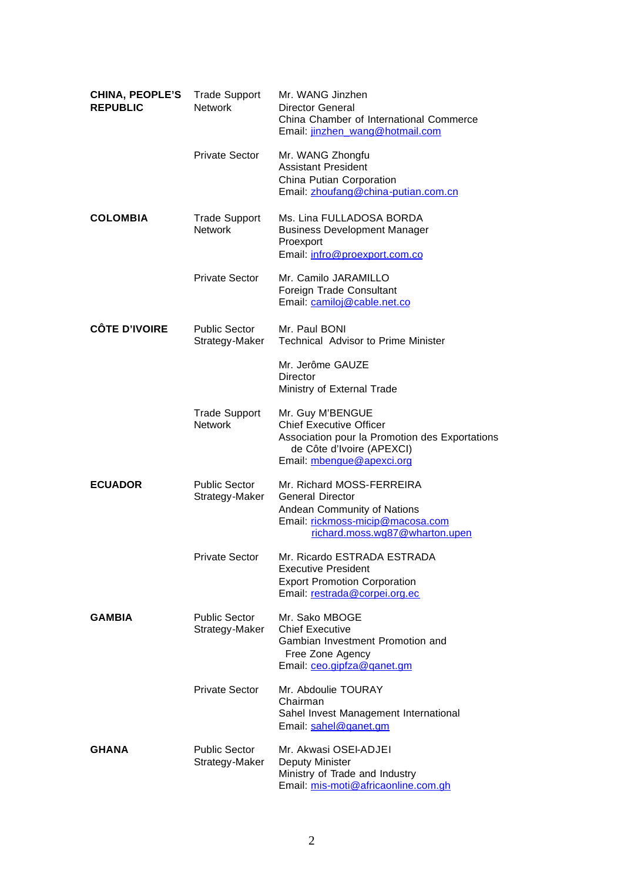| <b>CHINA, PEOPLE'S</b><br><b>REPUBLIC</b> | <b>Trade Support</b><br><b>Network</b> | Mr. WANG Jinzhen<br>Director General<br>China Chamber of International Commerce<br>Email: jinzhen wang@hotmail.com                                             |
|-------------------------------------------|----------------------------------------|----------------------------------------------------------------------------------------------------------------------------------------------------------------|
|                                           | <b>Private Sector</b>                  | Mr. WANG Zhongfu<br><b>Assistant President</b><br>China Putian Corporation<br>Email: zhoufang@china-putian.com.cn                                              |
| <b>COLOMBIA</b>                           | <b>Trade Support</b><br><b>Network</b> | Ms. Lina FULLADOSA BORDA<br><b>Business Development Manager</b><br>Proexport<br>Email: infro@proexport.com.co                                                  |
|                                           | <b>Private Sector</b>                  | Mr. Camilo JARAMILLO<br>Foreign Trade Consultant<br>Email: camiloi@cable.net.co                                                                                |
| <b>CÔTE D'IVOIRE</b>                      | <b>Public Sector</b><br>Strategy-Maker | Mr. Paul BONI<br><b>Technical Advisor to Prime Minister</b>                                                                                                    |
|                                           |                                        | Mr. Jerôme GAUZE<br><b>Director</b><br>Ministry of External Trade                                                                                              |
|                                           | <b>Trade Support</b><br><b>Network</b> | Mr. Guy M'BENGUE<br><b>Chief Executive Officer</b><br>Association pour la Promotion des Exportations<br>de Côte d'Ivoire (APEXCI)<br>Email: mbenque@apexci.org |
| <b>ECUADOR</b>                            | <b>Public Sector</b><br>Strategy-Maker | Mr. Richard MOSS-FERREIRA<br><b>General Director</b><br>Andean Community of Nations<br>Email: rickmoss-micip@macosa.com<br>richard.moss.wq87@wharton.upen      |
|                                           | Private Sector                         | Mr. Ricardo ESTRADA ESTRADA<br><b>Executive President</b><br><b>Export Promotion Corporation</b><br>Email: restrada@corpei.org.ec                              |
| <b>GAMBIA</b>                             | <b>Public Sector</b><br>Strategy-Maker | Mr. Sako MBOGE<br><b>Chief Executive</b><br>Gambian Investment Promotion and<br>Free Zone Agency<br>Email: ceo.gipfza@ganet.gm                                 |
|                                           | <b>Private Sector</b>                  | Mr. Abdoulie TOURAY<br>Chairman<br>Sahel Invest Management International<br>Email: sahel@ganet.gm                                                              |
| <b>GHANA</b>                              | <b>Public Sector</b><br>Strategy-Maker | Mr. Akwasi OSEI-ADJEI<br>Deputy Minister<br>Ministry of Trade and Industry<br>Email: mis-moti@africaonline.com.gh                                              |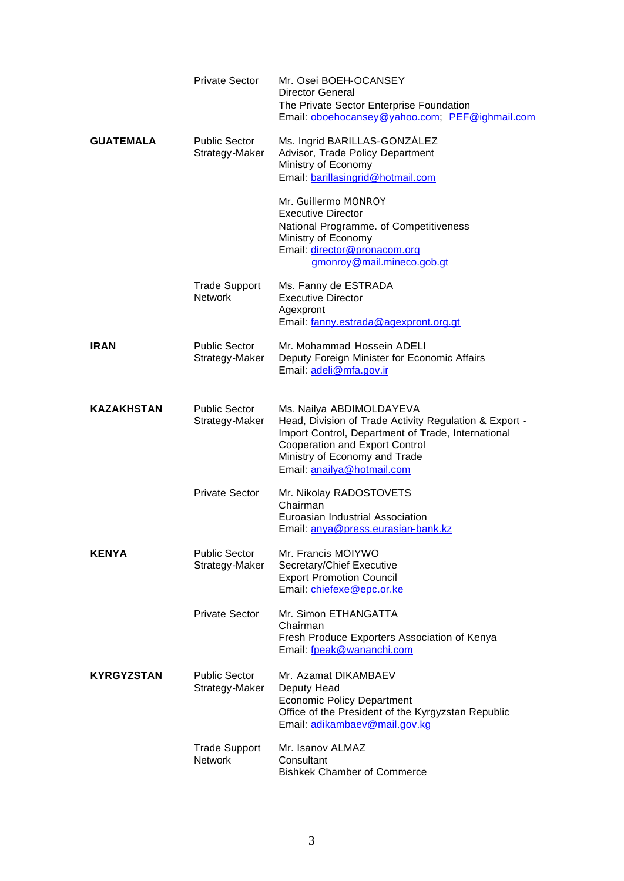|                   | <b>Private Sector</b>                  | Mr. Osei BOEH-OCANSEY<br>Director General<br>The Private Sector Enterprise Foundation<br>Email: oboehocansey@yahoo.com; PEF@ighmail.com                                                                                                          |
|-------------------|----------------------------------------|--------------------------------------------------------------------------------------------------------------------------------------------------------------------------------------------------------------------------------------------------|
| <b>GUATEMALA</b>  | <b>Public Sector</b><br>Strategy-Maker | Ms. Ingrid BARILLAS-GONZÁLEZ<br>Advisor, Trade Policy Department<br>Ministry of Economy<br>Email: barillasingrid@hotmail.com                                                                                                                     |
|                   |                                        | Mr. Guillermo MONROY<br><b>Executive Director</b><br>National Programme. of Competitiveness<br>Ministry of Economy<br>Email: director@pronacom.org<br>gmonroy@mail.mineco.gob.gt                                                                 |
|                   | <b>Trade Support</b><br><b>Network</b> | Ms. Fanny de ESTRADA<br><b>Executive Director</b><br>Agexpront<br>Email: fanny.estrada@agexpront.org.gt                                                                                                                                          |
| <b>IRAN</b>       | <b>Public Sector</b><br>Strategy-Maker | Mr. Mohammad Hossein ADELI<br>Deputy Foreign Minister for Economic Affairs<br>Email: adeli@mfa.gov.ir                                                                                                                                            |
| <b>KAZAKHSTAN</b> | <b>Public Sector</b><br>Strategy-Maker | Ms. Nailya ABDIMOLDAYEVA<br>Head, Division of Trade Activity Regulation & Export -<br>Import Control, Department of Trade, International<br><b>Cooperation and Export Control</b><br>Ministry of Economy and Trade<br>Email: anailya@hotmail.com |
|                   | <b>Private Sector</b>                  | Mr. Nikolay RADOSTOVETS<br>Chairman<br>Euroasian Industrial Association<br>Email: anya@press.eurasian-bank.kz                                                                                                                                    |
| <b>KENYA</b>      | <b>Public Sector</b><br>Strategy-Maker | Mr. Francis MOIYWO<br>Secretary/Chief Executive<br><b>Export Promotion Council</b><br>Email: chiefexe@epc.or.ke                                                                                                                                  |
|                   | <b>Private Sector</b>                  | Mr. Simon ETHANGATTA<br>Chairman<br>Fresh Produce Exporters Association of Kenya<br>Email: fpeak@wananchi.com                                                                                                                                    |
| <b>KYRGYZSTAN</b> | <b>Public Sector</b><br>Strategy-Maker | Mr. Azamat DIKAMBAEV<br>Deputy Head<br><b>Economic Policy Department</b><br>Office of the President of the Kyrgyzstan Republic<br>Email: adikambaev@mail.gov.kg                                                                                  |
|                   | <b>Trade Support</b><br><b>Network</b> | Mr. Isanov ALMAZ<br>Consultant<br><b>Bishkek Chamber of Commerce</b>                                                                                                                                                                             |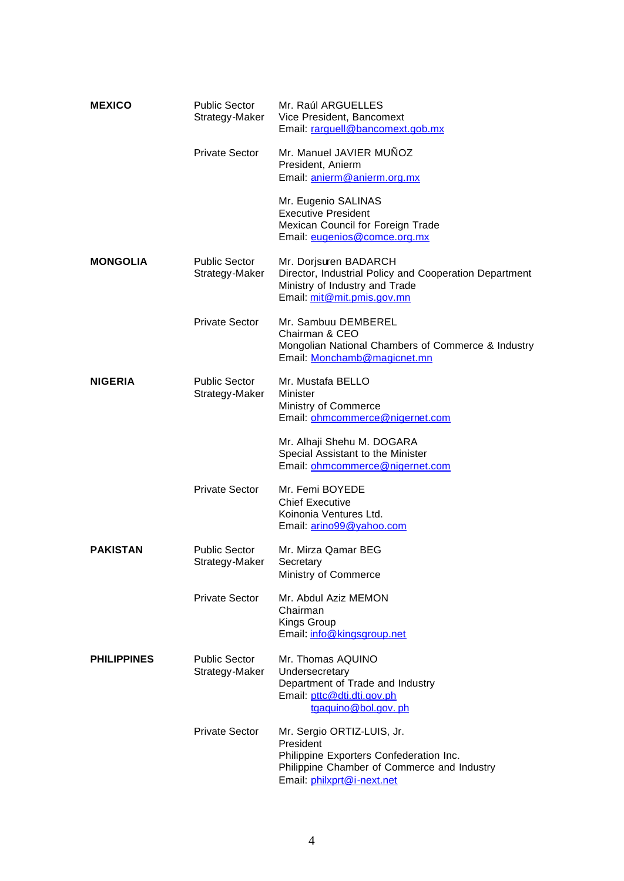| <b>MEXICO</b>      | <b>Public Sector</b><br>Strategy-Maker | Mr. Raúl ARGUELLES<br>Vice President, Bancomext<br>Email: rarguell@bancomext.gob.mx                                                                             |
|--------------------|----------------------------------------|-----------------------------------------------------------------------------------------------------------------------------------------------------------------|
|                    | <b>Private Sector</b>                  | Mr. Manuel JAVIER MUÑOZ<br>President, Anierm<br>Email: anierm@anierm.org.mx                                                                                     |
|                    |                                        | Mr. Eugenio SALINAS<br><b>Executive President</b><br>Mexican Council for Foreign Trade<br>Email: eugenios@comce.org.mx                                          |
| <b>MONGOLIA</b>    | <b>Public Sector</b><br>Strategy-Maker | Mr. Dorjsuren BADARCH<br>Director, Industrial Policy and Cooperation Department<br>Ministry of Industry and Trade<br>Email: mit@mit.pmis.gov.mn                 |
|                    | <b>Private Sector</b>                  | Mr. Sambuu DEMBEREL<br>Chairman & CEO<br>Mongolian National Chambers of Commerce & Industry<br>Email: Monchamb@magicnet.mn                                      |
| <b>NIGERIA</b>     | <b>Public Sector</b><br>Strategy-Maker | Mr. Mustafa BELLO<br>Minister<br>Ministry of Commerce<br>Email: ohmcommerce@nigernet.com                                                                        |
|                    |                                        | Mr. Alhaji Shehu M. DOGARA<br>Special Assistant to the Minister<br>Email: ohmcommerce@nigernet.com                                                              |
|                    | <b>Private Sector</b>                  | Mr. Femi BOYEDE<br><b>Chief Executive</b><br>Koinonia Ventures Ltd.<br>Email: arino99@yahoo.com                                                                 |
| <b>PAKISTAN</b>    | <b>Public Sector</b><br>Strategy-Maker | Mr. Mirza Qamar BEG<br>Secretary<br>Ministry of Commerce                                                                                                        |
|                    | Private Sector                         | Mr. Abdul Aziz MEMON<br>Chairman<br>Kings Group<br>Email: info@kingsgroup.net                                                                                   |
| <b>PHILIPPINES</b> | <b>Public Sector</b><br>Strategy-Maker | Mr. Thomas AQUINO<br>Undersecretary<br>Department of Trade and Industry<br>Email: pttc@dti.dti.gov.ph<br>tgaguino@bol.gov.ph                                    |
|                    | <b>Private Sector</b>                  | Mr. Sergio ORTIZ-LUIS, Jr.<br>President<br>Philippine Exporters Confederation Inc.<br>Philippine Chamber of Commerce and Industry<br>Email: philxprt@i-next.net |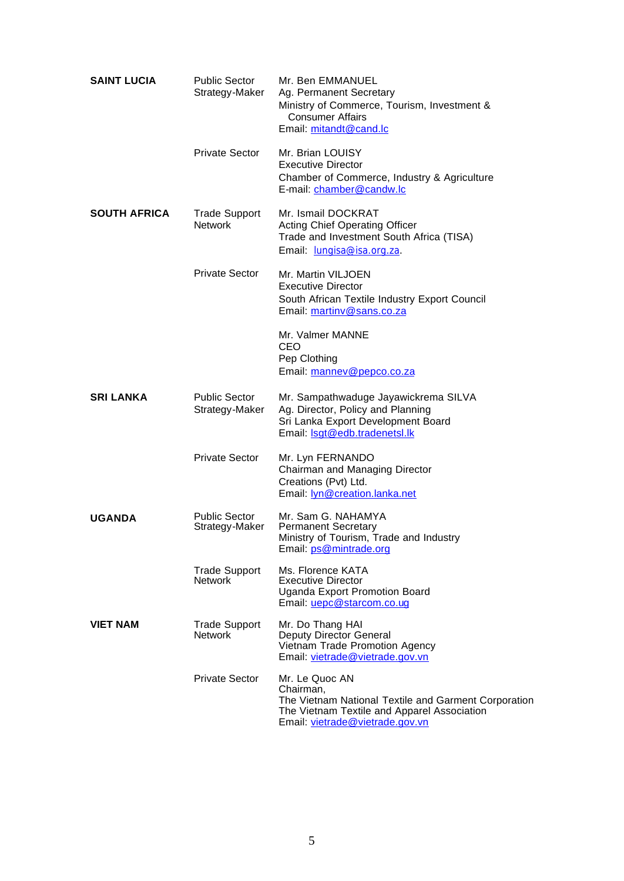| <b>SAINT LUCIA</b>  | <b>Public Sector</b><br>Strategy-Maker | Mr. Ben EMMANUEL<br>Ag. Permanent Secretary<br>Ministry of Commerce, Tourism, Investment &<br><b>Consumer Affairs</b><br>Email: mitandt@cand.lc                       |
|---------------------|----------------------------------------|-----------------------------------------------------------------------------------------------------------------------------------------------------------------------|
|                     | <b>Private Sector</b>                  | Mr. Brian LOUISY<br><b>Executive Director</b><br>Chamber of Commerce, Industry & Agriculture<br>E-mail: chamber@candw.lc                                              |
| <b>SOUTH AFRICA</b> | <b>Trade Support</b><br><b>Network</b> | Mr. Ismail DOCKRAT<br><b>Acting Chief Operating Officer</b><br>Trade and Investment South Africa (TISA)<br>Email: <i>Jungisa@isa.org.za.</i>                          |
|                     | <b>Private Sector</b>                  | Mr. Martin VILJOEN<br><b>Executive Director</b><br>South African Textile Industry Export Council<br>Email: martiny@sans.co.za                                         |
|                     |                                        | Mr. Valmer MANNE<br><b>CEO</b><br>Pep Clothing<br>Email: manney@pepco.co.za                                                                                           |
| <b>SRI LANKA</b>    | <b>Public Sector</b><br>Strategy-Maker | Mr. Sampathwaduge Jayawickrema SILVA<br>Ag. Director, Policy and Planning<br>Sri Lanka Export Development Board<br>Email: <b>Isqt@edb.tradenetsl.lk</b>               |
|                     | <b>Private Sector</b>                  | Mr. Lyn FERNANDO<br>Chairman and Managing Director<br>Creations (Pvt) Ltd.<br>Email: <b>lyn@creation.lanka.net</b>                                                    |
| <b>UGANDA</b>       | <b>Public Sector</b><br>Strategy-Maker | Mr. Sam G. NAHAMYA<br><b>Permanent Secretary</b><br>Ministry of Tourism, Trade and Industry<br>Email: ps@mintrade.org                                                 |
|                     | <b>Trade Support</b><br><b>Network</b> | Ms. Florence KATA<br><b>Executive Director</b><br><b>Uganda Export Promotion Board</b><br>Email: uepc@starcom.co.uq                                                   |
| <b>VIET NAM</b>     | <b>Trade Support</b><br><b>Network</b> | Mr. Do Thang HAI<br>Deputy Director General<br>Vietnam Trade Promotion Agency<br>Email: vietrade@vietrade.gov.vn                                                      |
|                     | <b>Private Sector</b>                  | Mr. Le Quoc AN<br>Chairman,<br>The Vietnam National Textile and Garment Corporation<br>The Vietnam Textile and Apparel Association<br>Email: vietrade@vietrade.gov.vn |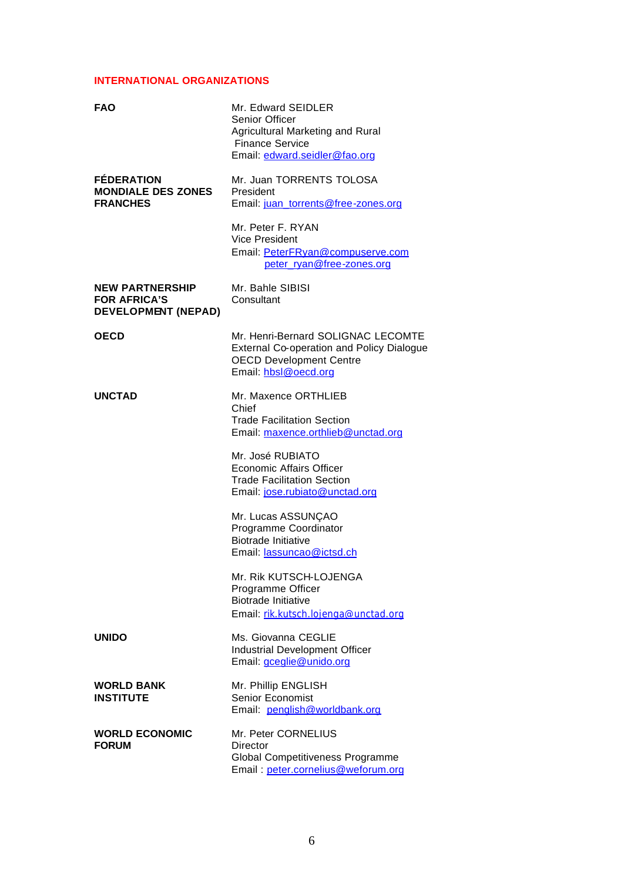#### **INTERNATIONAL ORGANIZATIONS**

| <b>FAO</b>                                                                  | Mr. Edward SEIDLER<br><b>Senior Officer</b><br>Agricultural Marketing and Rural<br><b>Finance Service</b><br>Email: edward.seidler@fao.org       |
|-----------------------------------------------------------------------------|--------------------------------------------------------------------------------------------------------------------------------------------------|
| <b>FÉDERATION</b><br><b>MONDIALE DES ZONES</b><br><b>FRANCHES</b>           | Mr. Juan TORRENTS TOLOSA<br>President<br>Email: juan_torrents@free-zones.org                                                                     |
|                                                                             | Mr. Peter F. RYAN<br>Vice President<br>Email: PeterFRyan@compuserve.com<br>peter ryan@free-zones.org                                             |
| <b>NEW PARTNERSHIP</b><br><b>FOR AFRICA'S</b><br><b>DEVELOPMENT (NEPAD)</b> | Mr. Bahle SIBISI<br>Consultant                                                                                                                   |
| <b>OECD</b>                                                                 | Mr. Henri-Bernard SOLIGNAC LECOMTE<br><b>External Co-operation and Policy Dialogue</b><br><b>OECD Development Centre</b><br>Email: hbsl@oecd.org |
| <b>UNCTAD</b>                                                               | Mr. Maxence ORTHLIEB<br>Chief<br><b>Trade Facilitation Section</b><br>Email: maxence.orthlieb@unctad.org                                         |
|                                                                             | Mr. José RUBIATO<br>Economic Affairs Officer<br><b>Trade Facilitation Section</b><br>Email: jose.rubiato@unctad.org                              |
|                                                                             | Mr. Lucas ASSUNÇAO<br>Programme Coordinator<br><b>Biotrade Initiative</b><br>Email: lassuncao@ictsd.ch                                           |
|                                                                             | Mr. Rik KUTSCH-LOJENGA<br>Programme Officer<br><b>Biotrade Initiative</b><br>Email: rik.kutsch.lojenga@unctad.org                                |
| <b>UNIDO</b>                                                                | Ms. Giovanna CEGLIE<br>Industrial Development Officer<br>Email: <i>gceglie@unido.org</i>                                                         |
| <b>WORLD BANK</b><br><b>INSTITUTE</b>                                       | Mr. Phillip ENGLISH<br>Senior Economist<br>Email: penglish@worldbank.org                                                                         |
| <b>WORLD ECONOMIC</b><br><b>FORUM</b>                                       | Mr. Peter CORNELIUS<br>Director<br>Global Competitiveness Programme<br>Email: peter.cornelius@weforum.org                                        |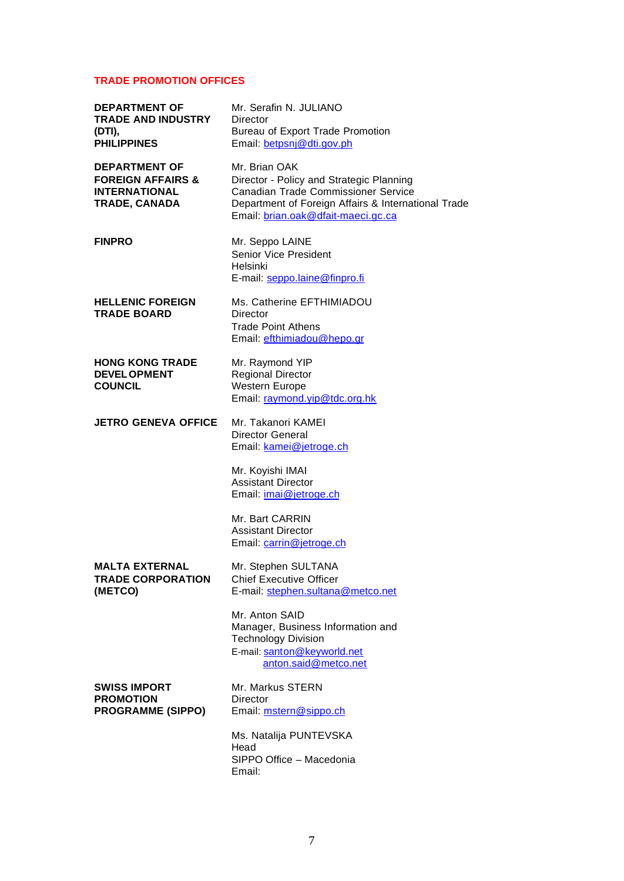## **TRADE PROMOTION OFFICES**

| <b>DEPARTMENT OF</b><br><b>TRADE AND INDUSTRY</b><br>(DTI),<br><b>PHILIPPINES</b>                    | Mr. Serafin N. JULIANO<br><b>Director</b><br><b>Bureau of Export Trade Promotion</b><br>Email: betpsnj@dti.gov.ph                                                                                    |
|------------------------------------------------------------------------------------------------------|------------------------------------------------------------------------------------------------------------------------------------------------------------------------------------------------------|
| <b>DEPARTMENT OF</b><br><b>FOREIGN AFFAIRS &amp;</b><br><b>INTERNATIONAL</b><br><b>TRADE, CANADA</b> | Mr. Brian OAK<br>Director - Policy and Strategic Planning<br><b>Canadian Trade Commissioner Service</b><br>Department of Foreign Affairs & International Trade<br>Email: brian.oak@dfait-maeci.gc.ca |
| <b>FINPRO</b>                                                                                        | Mr. Seppo LAINE<br><b>Senior Vice President</b><br>Helsinki<br>E-mail: seppo.laine@finpro.fi                                                                                                         |
| <b>HELLENIC FOREIGN</b><br><b>TRADE BOARD</b>                                                        | Ms. Catherine EFTHIMIADOU<br><b>Director</b><br><b>Trade Point Athens</b><br>Email: efthimiadou@hepo.gr                                                                                              |
| <b>HONG KONG TRADE</b><br><b>DEVEL OPMENT</b><br><b>COUNCIL</b>                                      | Mr. Raymond YIP<br><b>Regional Director</b><br><b>Western Europe</b><br>Email: raymond.vip@tdc.org.hk                                                                                                |
| <b>JETRO GENEVA OFFICE</b>                                                                           | Mr. Takanori KAMEI<br><b>Director General</b><br>Email: kamei@jetroge.ch<br>Mr. Koyishi IMAI<br><b>Assistant Director</b>                                                                            |
|                                                                                                      | Email: <i>imai@jetroge.ch</i><br>Mr. Bart CARRIN<br><b>Assistant Director</b>                                                                                                                        |
|                                                                                                      | Email: carrin@jetroge.ch                                                                                                                                                                             |
| MALTA EXTERNAL<br><b>TRADE CORPORATION</b><br>(METCO)                                                | Mr. Stephen SULTANA<br><b>Chief Executive Officer</b><br>E-mail: stephen.sultana@metco.net                                                                                                           |
|                                                                                                      | Mr. Anton SAID<br>Manager, Business Information and<br><b>Technology Division</b><br>E-mail: santon@keyworld.net<br>anton.said@metco.net                                                             |
| <b>SWISS IMPORT</b><br><b>PROMOTION</b><br><b>PROGRAMME (SIPPO)</b>                                  | Mr. Markus STERN<br><b>Director</b><br>Email: mstern@sippo.ch                                                                                                                                        |
|                                                                                                      | Ms. Natalija PUNTEVSKA<br>Head<br>SIPPO Office - Macedonia<br>Email:                                                                                                                                 |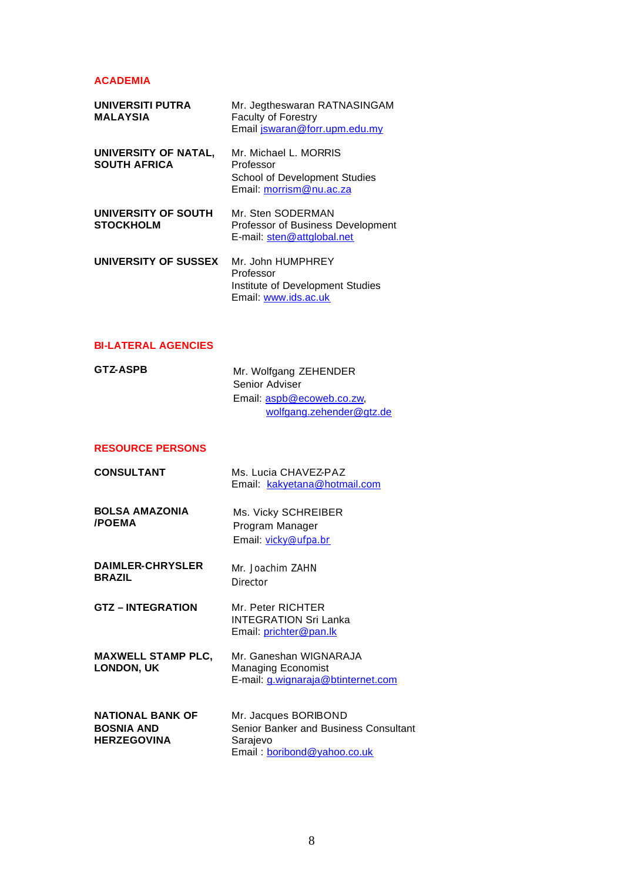## **ACADEMIA**

| <b>UNIVERSITI PUTRA</b><br><b>MALAYSIA</b>  | Mr. Jegtheswaran RATNASINGAM<br><b>Faculty of Forestry</b><br>Email jswaran@forr.upm.edu.my           |
|---------------------------------------------|-------------------------------------------------------------------------------------------------------|
| UNIVERSITY OF NATAL,<br><b>SOUTH AFRICA</b> | Mr. Michael L. MORRIS<br>Professor<br><b>School of Development Studies</b><br>Email: morrism@nu.ac.za |
| UNIVERSITY OF SOUTH<br><b>STOCKHOLM</b>     | Mr. Sten SODERMAN<br>Professor of Business Development<br>E-mail: sten@attglobal.net                  |
| UNIVERSITY OF SUSSEX                        | Mr. John HUMPHREY<br>Professor<br>Institute of Development Studies<br>Email: www.ids.ac.uk            |

## **BI-LATERAL AGENCIES**

| <b>GTZ-ASPB</b> | Mr. Wolfgang ZEHENDER     |
|-----------------|---------------------------|
|                 | Senior Adviser            |
|                 | Email: aspb@ecoweb.co.zw, |
|                 | wolfgang.zehender@gtz.de  |

## **RESOURCE PERSONS**

| <b>CONSULTANT</b>                                                  | Ms. Lucia CHAVEZ-PAZ<br>Email: kakyetana@hotmail.com                                                     |
|--------------------------------------------------------------------|----------------------------------------------------------------------------------------------------------|
| <b>BOLSA AMAZONIA</b><br><b>/POEMA</b>                             | Ms. Vicky SCHREIBER<br>Program Manager<br>Email: vicky@ufpa.br                                           |
| <b>DAIMLER-CHRYSLER</b><br><b>BRAZIL</b>                           | Mr Joachim ZAHN<br>Director                                                                              |
| <b>GTZ-INTEGRATION</b>                                             | Mr. Peter RICHTER<br><b>INTEGRATION Sri Lanka</b><br>Email: prichter@pan.lk                              |
| <b>MAXWELL STAMP PLC,</b><br><b>LONDON, UK</b>                     | Mr. Ganeshan WIGNARAJA<br><b>Managing Economist</b><br>E-mail: <i>g.wignaraja@btinternet.com</i>         |
| <b>NATIONAL BANK OF</b><br><b>BOSNIA AND</b><br><b>HERZEGOVINA</b> | Mr. Jacques BORIBOND<br>Senior Banker and Business Consultant<br>Sarajevo<br>Email: boribond@yahoo.co.uk |